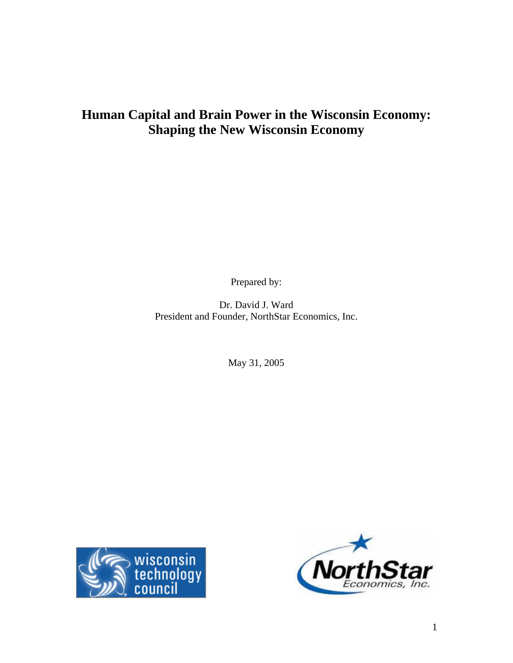# **Human Capital and Brain Power in the Wisconsin Economy: Shaping the New Wisconsin Economy**

Prepared by:

Dr. David J. Ward President and Founder, NorthStar Economics, Inc.

May 31, 2005



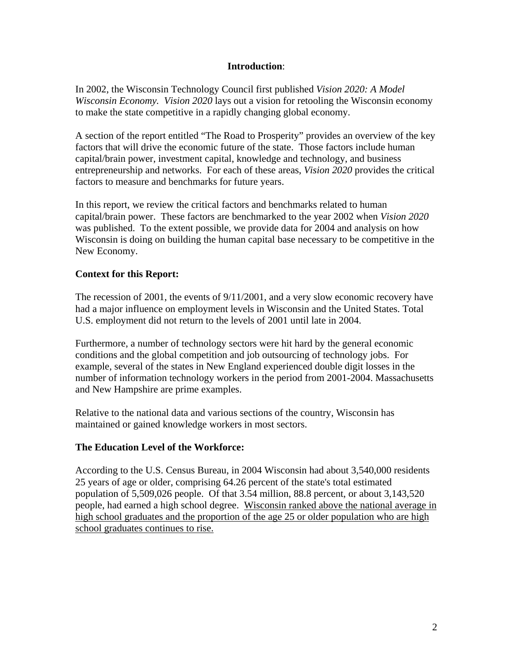## **Introduction**:

In 2002, the Wisconsin Technology Council first published *Vision 2020: A Model Wisconsin Economy. Vision 2020* lays out a vision for retooling the Wisconsin economy to make the state competitive in a rapidly changing global economy.

A section of the report entitled "The Road to Prosperity" provides an overview of the key factors that will drive the economic future of the state. Those factors include human capital/brain power, investment capital, knowledge and technology, and business entrepreneurship and networks. For each of these areas, *Vision 2020* provides the critical factors to measure and benchmarks for future years.

In this report, we review the critical factors and benchmarks related to human capital/brain power. These factors are benchmarked to the year 2002 when *Vision 2020*  was published. To the extent possible, we provide data for 2004 and analysis on how Wisconsin is doing on building the human capital base necessary to be competitive in the New Economy.

# **Context for this Report:**

The recession of 2001, the events of 9/11/2001, and a very slow economic recovery have had a major influence on employment levels in Wisconsin and the United States. Total U.S. employment did not return to the levels of 2001 until late in 2004.

Furthermore, a number of technology sectors were hit hard by the general economic conditions and the global competition and job outsourcing of technology jobs. For example, several of the states in New England experienced double digit losses in the number of information technology workers in the period from 2001-2004. Massachusetts and New Hampshire are prime examples.

Relative to the national data and various sections of the country, Wisconsin has maintained or gained knowledge workers in most sectors.

## **The Education Level of the Workforce:**

According to the U.S. Census Bureau, in 2004 Wisconsin had about 3,540,000 residents 25 years of age or older, comprising 64.26 percent of the state's total estimated population of 5,509,026 people. Of that 3.54 million, 88.8 percent, or about 3,143,520 people, had earned a high school degree. Wisconsin ranked above the national average in high school graduates and the proportion of the age 25 or older population who are high school graduates continues to rise.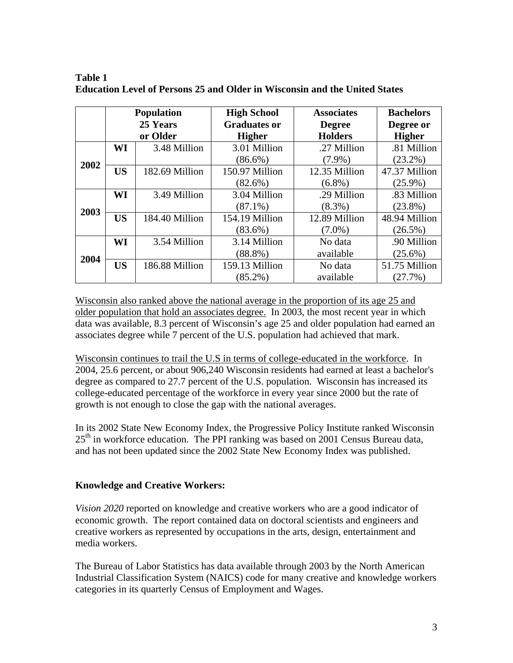|      | <b>Population</b><br>25 Years<br>or Older |                | <b>High School</b>  | <b>Associates</b> | <b>Bachelors</b> |
|------|-------------------------------------------|----------------|---------------------|-------------------|------------------|
|      |                                           |                | <b>Graduates or</b> | <b>Degree</b>     | Degree or        |
|      |                                           |                | <b>Higher</b>       | <b>Holders</b>    | <b>Higher</b>    |
|      | WI                                        | 3.48 Million   | 3.01 Million        | .27 Million       | .81 Million      |
| 2002 |                                           |                | $(86.6\%)$          | $(7.9\%)$         | $(23.2\%)$       |
|      | <b>US</b>                                 | 182.69 Million | 150.97 Million      | 12.35 Million     | 47.37 Million    |
|      |                                           |                | $(82.6\%)$          | $(6.8\%)$         | $(25.9\%)$       |
|      | WI                                        | 3.49 Million   | 3.04 Million        | .29 Million       | .83 Million      |
| 2003 |                                           |                | $(87.1\%)$          | $(8.3\%)$         | $(23.8\%)$       |
|      | <b>US</b>                                 | 184.40 Million | 154.19 Million      | 12.89 Million     | 48.94 Million    |
|      |                                           |                | $(83.6\%)$          | $(7.0\%)$         | $(26.5\%)$       |
|      | WI                                        | 3.54 Million   | 3.14 Million        | No data           | .90 Million      |
| 2004 |                                           |                | $(88.8\%)$          | available         | $(25.6\%)$       |
|      | <b>US</b>                                 | 186.88 Million | 159.13 Million      | No data           | 51.75 Million    |
|      |                                           |                | $(85.2\%)$          | available         | (27.7%)          |

**Table 1 Education Level of Persons 25 and Older in Wisconsin and the United States** 

Wisconsin also ranked above the national average in the proportion of its age 25 and older population that hold an associates degree. In 2003, the most recent year in which data was available, 8.3 percent of Wisconsin's age 25 and older population had earned an associates degree while 7 percent of the U.S. population had achieved that mark.

Wisconsin continues to trail the U.S in terms of college-educated in the workforce. In 2004, 25.6 percent, or about 906,240 Wisconsin residents had earned at least a bachelor's degree as compared to 27.7 percent of the U.S. population. Wisconsin has increased its college-educated percentage of the workforce in every year since 2000 but the rate of growth is not enough to close the gap with the national averages.

In its 2002 State New Economy Index, the Progressive Policy Institute ranked Wisconsin  $25<sup>th</sup>$  in workforce education. The PPI ranking was based on 2001 Census Bureau data, and has not been updated since the 2002 State New Economy Index was published.

# **Knowledge and Creative Workers:**

*Vision 2020* reported on knowledge and creative workers who are a good indicator of economic growth. The report contained data on doctoral scientists and engineers and creative workers as represented by occupations in the arts, design, entertainment and media workers.

The Bureau of Labor Statistics has data available through 2003 by the North American Industrial Classification System (NAICS) code for many creative and knowledge workers categories in its quarterly Census of Employment and Wages.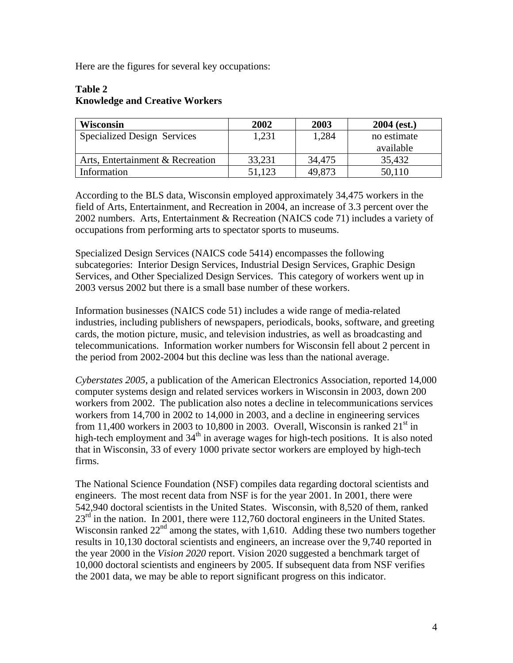Here are the figures for several key occupations:

# **Table 2 Knowledge and Creative Workers**

| <b>Wisconsin</b>                   | 2002   | 2003   | $2004$ (est.) |
|------------------------------------|--------|--------|---------------|
| <b>Specialized Design Services</b> | 1.231  | 1,284  | no estimate   |
|                                    |        |        | available     |
| Arts, Entertainment & Recreation   | 33,231 | 34,475 | 35,432        |
| Information                        | 51,123 | 49,873 | 50,110        |

According to the BLS data, Wisconsin employed approximately 34,475 workers in the field of Arts, Entertainment, and Recreation in 2004, an increase of 3.3 percent over the 2002 numbers. Arts, Entertainment & Recreation (NAICS code 71) includes a variety of occupations from performing arts to spectator sports to museums.

Specialized Design Services (NAICS code 5414) encompasses the following subcategories: Interior Design Services, Industrial Design Services, Graphic Design Services, and Other Specialized Design Services. This category of workers went up in 2003 versus 2002 but there is a small base number of these workers.

Information businesses (NAICS code 51) includes a wide range of media-related industries, including publishers of newspapers, periodicals, books, software, and greeting cards, the motion picture, music, and television industries, as well as broadcasting and telecommunications. Information worker numbers for Wisconsin fell about 2 percent in the period from 2002-2004 but this decline was less than the national average.

*Cyberstates 2005*, a publication of the American Electronics Association, reported 14,000 computer systems design and related services workers in Wisconsin in 2003, down 200 workers from 2002. The publication also notes a decline in telecommunications services workers from 14,700 in 2002 to 14,000 in 2003, and a decline in engineering services from 11,400 workers in 2003 to 10,800 in 2003. Overall, Wisconsin is ranked  $21<sup>st</sup>$  in high-tech employment and  $34<sup>th</sup>$  in average wages for high-tech positions. It is also noted that in Wisconsin, 33 of every 1000 private sector workers are employed by high-tech firms.

The National Science Foundation (NSF) compiles data regarding doctoral scientists and engineers. The most recent data from NSF is for the year 2001. In 2001, there were 542,940 doctoral scientists in the United States. Wisconsin, with 8,520 of them, ranked  $23<sup>rd</sup>$  in the nation. In 2001, there were 112,760 doctoral engineers in the United States. Wisconsin ranked  $22<sup>nd</sup>$  among the states, with 1,610. Adding these two numbers together results in 10,130 doctoral scientists and engineers, an increase over the 9,740 reported in the year 2000 in the *Vision 2020* report. Vision 2020 suggested a benchmark target of 10,000 doctoral scientists and engineers by 2005. If subsequent data from NSF verifies the 2001 data, we may be able to report significant progress on this indicator.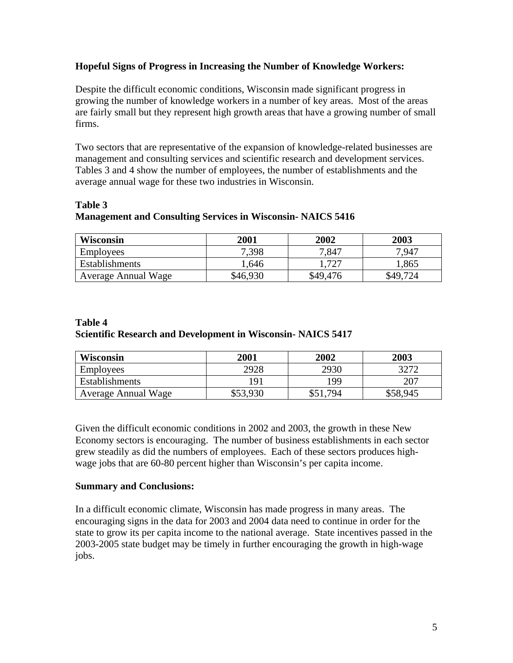## **Hopeful Signs of Progress in Increasing the Number of Knowledge Workers:**

Despite the difficult economic conditions, Wisconsin made significant progress in growing the number of knowledge workers in a number of key areas. Most of the areas are fairly small but they represent high growth areas that have a growing number of small firms.

Two sectors that are representative of the expansion of knowledge-related businesses are management and consulting services and scientific research and development services. Tables 3 and 4 show the number of employees, the number of establishments and the average annual wage for these two industries in Wisconsin.

# **Table 3 Management and Consulting Services in Wisconsin- NAICS 5416**

| Wisconsin                  | 2001     | 2002     | 2003                     |
|----------------------------|----------|----------|--------------------------|
| <b>Employees</b>           | 7,398    | 7,847    | 7.947                    |
| Establishments             | .,646    | רמד      | 1,865                    |
| <b>Average Annual Wage</b> | \$46,930 | \$49,476 | 72 <sub>A</sub><br>\$49. |

## **Table 4 Scientific Research and Development in Wisconsin- NAICS 5417**

| <b>Wisconsin</b>           | 2001     | 2002 | 2003     |
|----------------------------|----------|------|----------|
| <b>Employees</b>           | 2928     | 2930 | 3272     |
| Establishments             | 191      | 199  | 207      |
| <b>Average Annual Wage</b> | \$53,930 | .794 | \$58,945 |

Given the difficult economic conditions in 2002 and 2003, the growth in these New Economy sectors is encouraging. The number of business establishments in each sector grew steadily as did the numbers of employees. Each of these sectors produces highwage jobs that are 60-80 percent higher than Wisconsin's per capita income.

## **Summary and Conclusions:**

In a difficult economic climate, Wisconsin has made progress in many areas. The encouraging signs in the data for 2003 and 2004 data need to continue in order for the state to grow its per capita income to the national average. State incentives passed in the 2003-2005 state budget may be timely in further encouraging the growth in high-wage jobs.